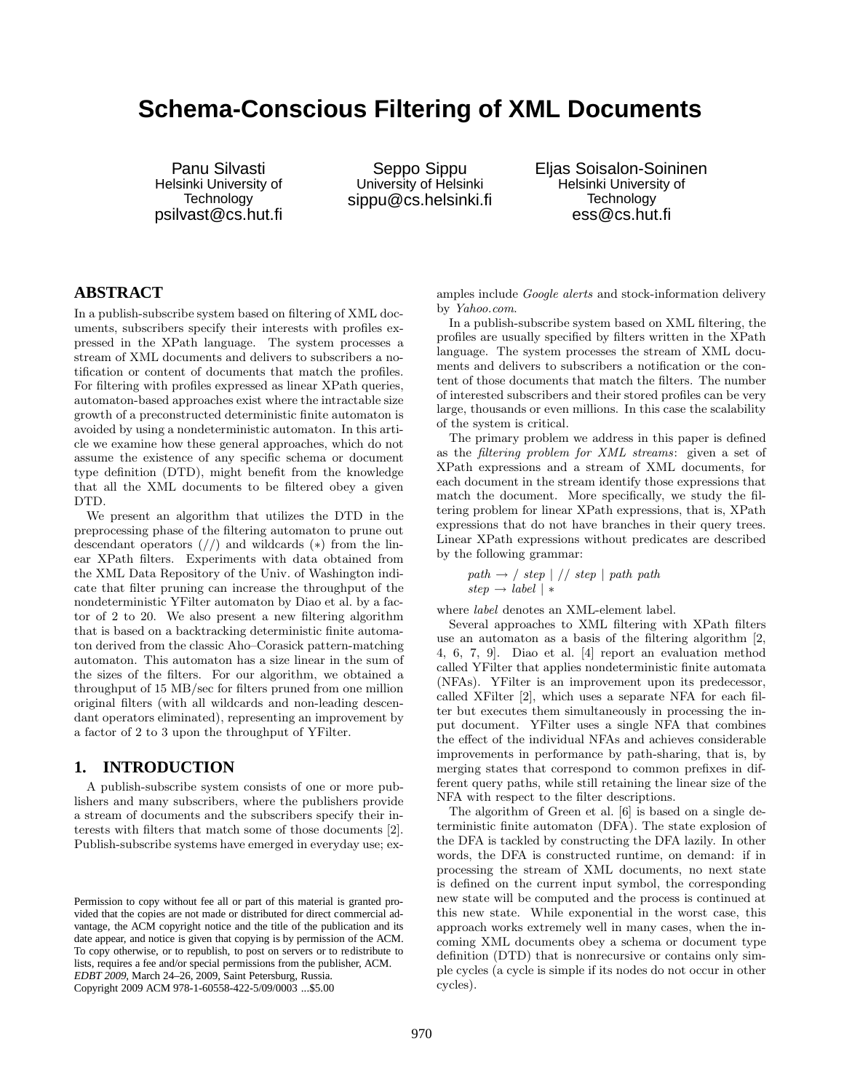# **Schema-Conscious Filtering of XML Documents**

Panu Silvasti Helsinki University of **Technology** psilvast@cs.hut.fi

Seppo Sippu University of Helsinki sippu@cs.helsinki.fi Eljas Soisalon-Soininen Helsinki University of Technology ess@cs.hut.fi

# **ABSTRACT**

In a publish-subscribe system based on filtering of XML documents, subscribers specify their interests with profiles expressed in the XPath language. The system processes a stream of XML documents and delivers to subscribers a notification or content of documents that match the profiles. For filtering with profiles expressed as linear XPath queries, automaton-based approaches exist where the intractable size growth of a preconstructed deterministic finite automaton is avoided by using a nondeterministic automaton. In this article we examine how these general approaches, which do not assume the existence of any specific schema or document type definition (DTD), might benefit from the knowledge that all the XML documents to be filtered obey a given DTD.

We present an algorithm that utilizes the DTD in the preprocessing phase of the filtering automaton to prune out descendant operators  $\left(\frac{1}{1}\right)$  and wildcards  $(*)$  from the linear XPath filters. Experiments with data obtained from the XML Data Repository of the Univ. of Washington indicate that filter pruning can increase the throughput of the nondeterministic YFilter automaton by Diao et al. by a factor of 2 to 20. We also present a new filtering algorithm that is based on a backtracking deterministic finite automaton derived from the classic Aho–Corasick pattern-matching automaton. This automaton has a size linear in the sum of the sizes of the filters. For our algorithm, we obtained a throughput of 15 MB/sec for filters pruned from one million original filters (with all wildcards and non-leading descendant operators eliminated), representing an improvement by a factor of 2 to 3 upon the throughput of YFilter.

## **1. INTRODUCTION**

A publish-subscribe system consists of one or more publishers and many subscribers, where the publishers provide a stream of documents and the subscribers specify their interests with filters that match some of those documents [2]. Publish-subscribe systems have emerged in everyday use; ex-

amples include Google alerts and stock-information delivery by Yahoo.com.

In a publish-subscribe system based on XML filtering, the profiles are usually specified by filters written in the XPath language. The system processes the stream of XML documents and delivers to subscribers a notification or the content of those documents that match the filters. The number of interested subscribers and their stored profiles can be very large, thousands or even millions. In this case the scalability of the system is critical.

The primary problem we address in this paper is defined as the filtering problem for XML streams: given a set of XPath expressions and a stream of XML documents, for each document in the stream identify those expressions that match the document. More specifically, we study the filtering problem for linear XPath expressions, that is, XPath expressions that do not have branches in their query trees. Linear XPath expressions without predicates are described by the following grammar:

path 
$$
\rightarrow
$$
 / step | // step | path path  
step  $\rightarrow$  label | \*

where label denotes an XML-element label.

Several approaches to XML filtering with XPath filters use an automaton as a basis of the filtering algorithm [2, 4, 6, 7, 9]. Diao et al. [4] report an evaluation method called YFilter that applies nondeterministic finite automata (NFAs). YFilter is an improvement upon its predecessor, called XFilter [2], which uses a separate NFA for each filter but executes them simultaneously in processing the input document. YFilter uses a single NFA that combines the effect of the individual NFAs and achieves considerable improvements in performance by path-sharing, that is, by merging states that correspond to common prefixes in different query paths, while still retaining the linear size of the NFA with respect to the filter descriptions.

The algorithm of Green et al. [6] is based on a single deterministic finite automaton (DFA). The state explosion of the DFA is tackled by constructing the DFA lazily. In other words, the DFA is constructed runtime, on demand: if in processing the stream of XML documents, no next state is defined on the current input symbol, the corresponding new state will be computed and the process is continued at this new state. While exponential in the worst case, this approach works extremely well in many cases, when the incoming XML documents obey a schema or document type definition (DTD) that is nonrecursive or contains only simple cycles (a cycle is simple if its nodes do not occur in other cycles).

Permission to copy without fee all or part of this material is granted provided that the copies are not made or distributed for direct commercial advantage, the ACM copyright notice and the title of the publication and its date appear, and notice is given that copying is by permission of the ACM. To copy otherwise, or to republish, to post on servers or to redistribute to lists, requires a fee and/or special permissions from the publisher, ACM. *EDBT 2009*, March 24–26, 2009, Saint Petersburg, Russia. Copyright 2009 ACM 978-1-60558-422-5/09/0003 ...\$5.00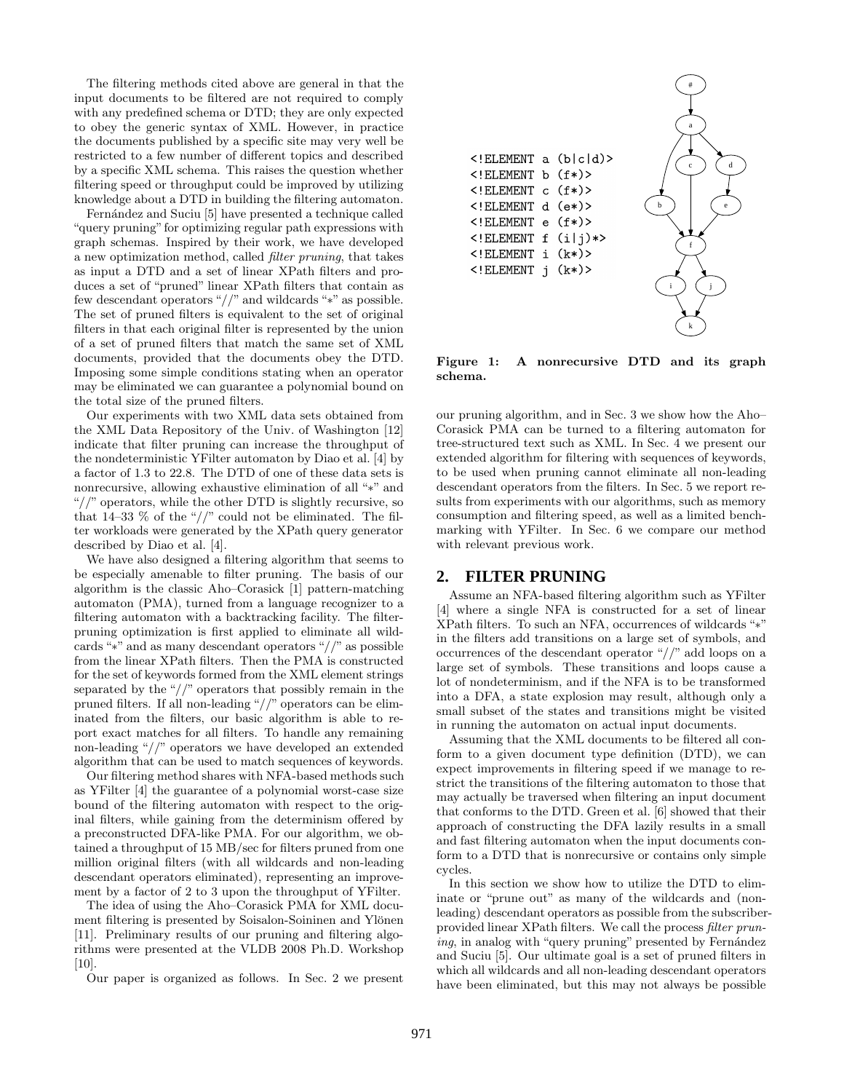The filtering methods cited above are general in that the input documents to be filtered are not required to comply with any predefined schema or DTD; they are only expected to obey the generic syntax of XML. However, in practice the documents published by a specific site may very well be restricted to a few number of different topics and described by a specific XML schema. This raises the question whether filtering speed or throughput could be improved by utilizing knowledge about a DTD in building the filtering automaton.

Fernández and Suciu [5] have presented a technique called "query pruning" for optimizing regular path expressions with graph schemas. Inspired by their work, we have developed a new optimization method, called filter pruning, that takes as input a DTD and a set of linear XPath filters and produces a set of "pruned" linear XPath filters that contain as few descendant operators "//" and wildcards "∗" as possible. The set of pruned filters is equivalent to the set of original filters in that each original filter is represented by the union of a set of pruned filters that match the same set of XML documents, provided that the documents obey the DTD. Imposing some simple conditions stating when an operator may be eliminated we can guarantee a polynomial bound on the total size of the pruned filters.

Our experiments with two XML data sets obtained from the XML Data Repository of the Univ. of Washington [12] indicate that filter pruning can increase the throughput of the nondeterministic YFilter automaton by Diao et al. [4] by a factor of 1.3 to 22.8. The DTD of one of these data sets is nonrecursive, allowing exhaustive elimination of all "∗" and " $\frac{1}{2}$ " operators, while the other DTD is slightly recursive, so that 14–33  $\%$  of the "//" could not be eliminated. The filter workloads were generated by the XPath query generator described by Diao et al. [4].

We have also designed a filtering algorithm that seems to be especially amenable to filter pruning. The basis of our algorithm is the classic Aho–Corasick [1] pattern-matching automaton (PMA), turned from a language recognizer to a filtering automaton with a backtracking facility. The filterpruning optimization is first applied to eliminate all wildcards "∗" and as many descendant operators "//" as possible from the linear XPath filters. Then the PMA is constructed for the set of keywords formed from the XML element strings separated by the "//" operators that possibly remain in the pruned filters. If all non-leading "//" operators can be eliminated from the filters, our basic algorithm is able to report exact matches for all filters. To handle any remaining non-leading "//" operators we have developed an extended algorithm that can be used to match sequences of keywords.

Our filtering method shares with NFA-based methods such as YFilter [4] the guarantee of a polynomial worst-case size bound of the filtering automaton with respect to the original filters, while gaining from the determinism offered by a preconstructed DFA-like PMA. For our algorithm, we obtained a throughput of 15 MB/sec for filters pruned from one million original filters (with all wildcards and non-leading descendant operators eliminated), representing an improvement by a factor of 2 to 3 upon the throughput of YFilter.

The idea of using the Aho–Corasick PMA for XML document filtering is presented by Soisalon-Soininen and Ylönen [11]. Preliminary results of our pruning and filtering algorithms were presented at the VLDB 2008 Ph.D. Workshop  $[10]$ .

Our paper is organized as follows. In Sec. 2 we present



Figure 1: A nonrecursive DTD and its graph schema.

our pruning algorithm, and in Sec. 3 we show how the Aho– Corasick PMA can be turned to a filtering automaton for tree-structured text such as XML. In Sec. 4 we present our extended algorithm for filtering with sequences of keywords, to be used when pruning cannot eliminate all non-leading descendant operators from the filters. In Sec. 5 we report results from experiments with our algorithms, such as memory consumption and filtering speed, as well as a limited benchmarking with YFilter. In Sec. 6 we compare our method with relevant previous work.

## **2. FILTER PRUNING**

Assume an NFA-based filtering algorithm such as YFilter [4] where a single NFA is constructed for a set of linear XPath filters. To such an NFA, occurrences of wildcards "∗" in the filters add transitions on a large set of symbols, and occurrences of the descendant operator "//" add loops on a large set of symbols. These transitions and loops cause a lot of nondeterminism, and if the NFA is to be transformed into a DFA, a state explosion may result, although only a small subset of the states and transitions might be visited in running the automaton on actual input documents.

Assuming that the XML documents to be filtered all conform to a given document type definition (DTD), we can expect improvements in filtering speed if we manage to restrict the transitions of the filtering automaton to those that may actually be traversed when filtering an input document that conforms to the DTD. Green et al. [6] showed that their approach of constructing the DFA lazily results in a small and fast filtering automaton when the input documents conform to a DTD that is nonrecursive or contains only simple cycles.

In this section we show how to utilize the DTD to eliminate or "prune out" as many of the wildcards and (nonleading) descendant operators as possible from the subscriberprovided linear XPath filters. We call the process filter pruning, in analog with "query pruning" presented by Fernández and Suciu [5]. Our ultimate goal is a set of pruned filters in which all wildcards and all non-leading descendant operators have been eliminated, but this may not always be possible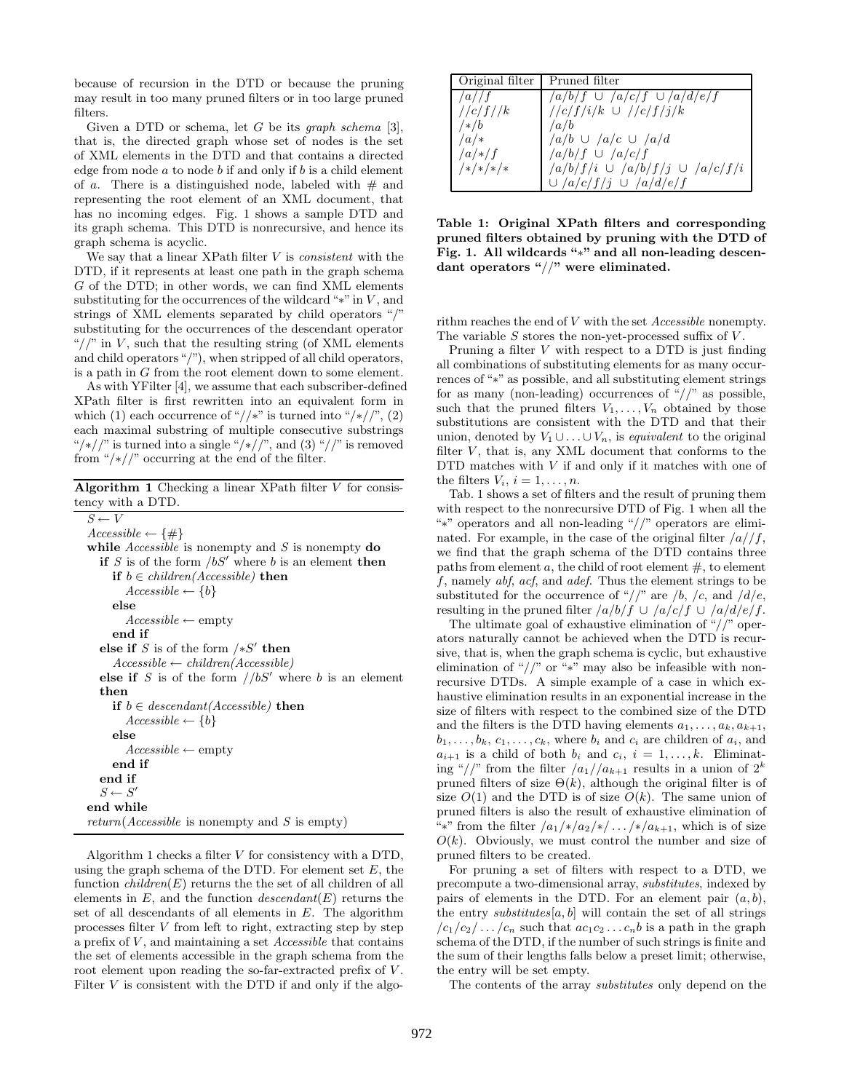because of recursion in the DTD or because the pruning may result in too many pruned filters or in too large pruned filters.

Given a DTD or schema, let G be its *graph schema* [3], that is, the directed graph whose set of nodes is the set of XML elements in the DTD and that contains a directed edge from node  $a$  to node  $b$  if and only if  $b$  is a child element of a. There is a distinguished node, labeled with  $\#$  and representing the root element of an XML document, that has no incoming edges. Fig. 1 shows a sample DTD and its graph schema. This DTD is nonrecursive, and hence its graph schema is acyclic.

We say that a linear XPath filter  $V$  is *consistent* with the DTD, if it represents at least one path in the graph schema G of the DTD; in other words, we can find XML elements substituting for the occurrences of the wildcard " $*$ " in  $V$ , and strings of XML elements separated by child operators "/" substituting for the occurrences of the descendant operator "//" in  $V$ , such that the resulting string (of XML elements and child operators "/"), when stripped of all child operators, is a path in G from the root element down to some element.

As with YFilter [4], we assume that each subscriber-defined XPath filter is first rewritten into an equivalent form in which (1) each occurrence of "//\*" is turned into "/\*//", (2) each maximal substring of multiple consecutive substrings "/\*//" is turned into a single "/\*//", and (3) "//" is removed from "/\*//" occurring at the end of the filter.

Algorithm 1 Checking a linear XPath filter  $V$  for consistency with a DTD.

 $S \leftarrow V$  $Accessible \leftarrow \{\#\}$ while  $Accessible$  is nonempty and  $S$  is nonempty do if S is of the form  $/bS'$  where b is an element then if  $b \in children(Accessible)$  then  $Accessible \leftarrow \{b\}$ else  $Accessible \leftarrow \text{empty}$ end if else if S is of the form  $/*S'$  then  $Accessible \leftarrow children(Accessible)$ else if S is of the form  $//bS'$  where b is an element then if  $b \in descendant(Accessible)$  then  $Accessible \leftarrow \{b\}$ else  $Accessible \leftarrow \text{empty}$ end if end if  $S \leftarrow S'$ end while return( $Accessible$  is nonempty and S is empty)

Algorithm 1 checks a filter V for consistency with a DTD, using the graph schema of the DTD. For element set  $E$ , the function *children* $(E)$  returns the the set of all children of all elements in  $E$ , and the function *descendant*( $E$ ) returns the set of all descendants of all elements in  $E$ . The algorithm processes filter V from left to right, extracting step by step a prefix of  $V$ , and maintaining a set *Accessible* that contains the set of elements accessible in the graph schema from the root element upon reading the so-far-extracted prefix of  $V$ . Filter  $V$  is consistent with the DTD if and only if the algo-

| Original filter   Pruned filter |                                                                  |
|---------------------------------|------------------------------------------------------------------|
| $\frac{a}{f}$                   | $\sqrt{a/b/f}$ $\cup$ $\sqrt{a/c/f}$ $\cup$ $\sqrt{a/d/e/f}$     |
| //c/f//k                        | $//c/f/i/k \cup //c/f/j/k$                                       |
| $/\ast/b$                       | $\sqrt{a/b}$                                                     |
| $/a/*$                          | $\int a/b$ $\cup$ $\int a/c$ $\cup$ $\int a/d$                   |
| $\frac{a}{f}$                   | $\frac{a}{b}f \cup \frac{a}{c}/f$                                |
| $/\sqrt{*/\sqrt{*/\ast}}$       | $\sqrt{a/b/f/i}$ $\cup$ $\sqrt{a/b/f/j}$ $\cup$ $\sqrt{a/c/f/i}$ |
|                                 | $\bigcup$ /a/c/f/j $\bigcup$ /a/d/e/f                            |

Table 1: Original XPath filters and corresponding pruned filters obtained by pruning with the DTD of Fig. 1. All wildcards "∗" and all non-leading descendant operators "//" were eliminated.

rithm reaches the end of V with the set Accessible nonempty. The variable  $S$  stores the non-yet-processed suffix of  $V$ .

Pruning a filter  $V$  with respect to a DTD is just finding all combinations of substituting elements for as many occurrences of "∗" as possible, and all substituting element strings for as many (non-leading) occurrences of "//" as possible, such that the pruned filters  $V_1, \ldots, V_n$  obtained by those substitutions are consistent with the DTD and that their union, denoted by  $V_1 \cup \ldots \cup V_n$ , is *equivalent* to the original filter  $V$ , that is, any XML document that conforms to the DTD matches with V if and only if it matches with one of the filters  $V_i$ ,  $i = 1, \ldots, n$ .

Tab. 1 shows a set of filters and the result of pruning them with respect to the nonrecursive DTD of Fig. 1 when all the "∗" operators and all non-leading "//" operators are eliminated. For example, in the case of the original filter  $\frac{a}{f}$ , we find that the graph schema of the DTD contains three paths from element a, the child of root element  $\#$ , to element f, namely abf, acf, and adef. Thus the element strings to be substituted for the occurrence of "//" are /b, /c, and /d/e, resulting in the pruned filter  $\frac{a}{b/f} \cup \frac{a}{c/f} \cup \frac{a}{d}/e/f$ .

The ultimate goal of exhaustive elimination of  $\frac{n}{r}$  operators naturally cannot be achieved when the DTD is recursive, that is, when the graph schema is cyclic, but exhaustive elimination of "//" or "\*" may also be infeasible with nonrecursive DTDs. A simple example of a case in which exhaustive elimination results in an exponential increase in the size of filters with respect to the combined size of the DTD and the filters is the DTD having elements  $a_1, \ldots, a_k, a_{k+1}$ ,  $b_1, \ldots, b_k, c_1, \ldots, c_k$ , where  $b_i$  and  $c_i$  are children of  $a_i$ , and  $a_{i+1}$  is a child of both  $b_i$  and  $c_i$ ,  $i = 1, ..., k$ . Eliminating "//" from the filter  $\frac{a_1}{a_{k+1}}$  results in a union of  $2^k$ pruned filters of size  $\Theta(k)$ , although the original filter is of size  $O(1)$  and the DTD is of size  $O(k)$ . The same union of pruned filters is also the result of exhaustive elimination of "\*" from the filter  $\frac{a_1}{*}a_2}{*}'$ ... $\frac{*}{a_{k+1}}$ , which is of size  $O(k)$ . Obviously, we must control the number and size of pruned filters to be created.

For pruning a set of filters with respect to a DTD, we precompute a two-dimensional array, substitutes, indexed by pairs of elements in the DTD. For an element pair  $(a, b)$ , the entry substitutes  $[a, b]$  will contain the set of all strings  $\sqrt{c_1/c_2}/\dots/c_n$  such that  $ac_1c_2\dots c_nb$  is a path in the graph schema of the DTD, if the number of such strings is finite and the sum of their lengths falls below a preset limit; otherwise, the entry will be set empty.

The contents of the array substitutes only depend on the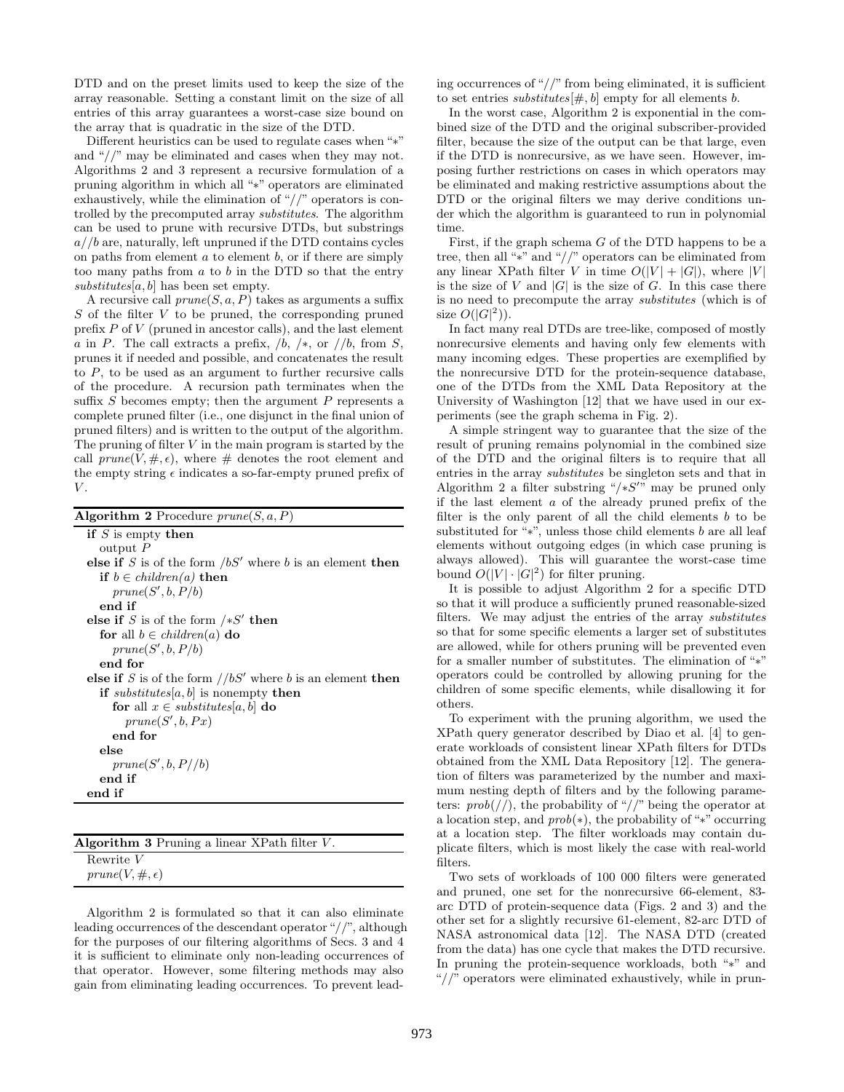DTD and on the preset limits used to keep the size of the array reasonable. Setting a constant limit on the size of all entries of this array guarantees a worst-case size bound on the array that is quadratic in the size of the DTD.

Different heuristics can be used to regulate cases when "∗" and "//" may be eliminated and cases when they may not. Algorithms 2 and 3 represent a recursive formulation of a pruning algorithm in which all "∗" operators are eliminated exhaustively, while the elimination of "//" operators is controlled by the precomputed array substitutes. The algorithm can be used to prune with recursive DTDs, but substrings  $a//b$  are, naturally, left unpruned if the DTD contains cycles on paths from element  $a$  to element  $b$ , or if there are simply too many paths from  $a$  to  $b$  in the DTD so that the entry  $substitutes[a, b]$  has been set empty.

A recursive call  $prune(S, a, P)$  takes as arguments a suffix  $S$  of the filter  $V$  to be pruned, the corresponding pruned prefix  $P$  of  $V$  (pruned in ancestor calls), and the last element a in P. The call extracts a prefix,  $/b$ ,  $/*$ , or  $//b$ , from S, prunes it if needed and possible, and concatenates the result to  $P$ , to be used as an argument to further recursive calls of the procedure. A recursion path terminates when the suffix  $S$  becomes empty; then the argument  $P$  represents a complete pruned filter (i.e., one disjunct in the final union of pruned filters) and is written to the output of the algorithm. The pruning of filter  $V$  in the main program is started by the call  $prune(V, \#, \epsilon)$ , where  $\#$  denotes the root element and the empty string  $\epsilon$  indicates a so-far-empty pruned prefix of  $V$ .

| <b>Algorithm 2</b> Procedure $prune(S, a, P)$               |
|-------------------------------------------------------------|
| if S is empty then                                          |
| $\text{output } P$                                          |
| else if S is of the form $/bS'$ where b is an element then  |
| if $b \in children(a)$ then                                 |
| prune(S', b, P/b)                                           |
| end if                                                      |
| else if S is of the form $/*S'$ then                        |
| for all $b \in children(a)$ do                              |
| prune(S', b, P/b)                                           |
| end for                                                     |
| else if S is of the form $//bS'$ where b is an element then |
| if substitutes $[a, b]$ is nonempty then                    |
| for all $x \in$ substitutes [a, b] do                       |
| prune(S', b, Px)                                            |
| end for                                                     |
| else                                                        |
| prune(S', b, P//b)                                          |
| end if                                                      |
| end if                                                      |

| <b>Algorithm 3</b> Pruning a linear XPath filter $V$ . |  |
|--------------------------------------------------------|--|
| Rewrite $V$                                            |  |
| $prune(V, \#, \epsilon)$                               |  |

Algorithm 2 is formulated so that it can also eliminate leading occurrences of the descendant operator "//", although for the purposes of our filtering algorithms of Secs. 3 and 4 it is sufficient to eliminate only non-leading occurrences of that operator. However, some filtering methods may also gain from eliminating leading occurrences. To prevent leading occurrences of " $\frac{1}{2}$ " from being eliminated, it is sufficient to set entries substitutes  $[\#, b]$  empty for all elements b.

In the worst case, Algorithm 2 is exponential in the combined size of the DTD and the original subscriber-provided filter, because the size of the output can be that large, even if the DTD is nonrecursive, as we have seen. However, imposing further restrictions on cases in which operators may be eliminated and making restrictive assumptions about the DTD or the original filters we may derive conditions under which the algorithm is guaranteed to run in polynomial time.

First, if the graph schema  $G$  of the DTD happens to be a tree, then all "∗" and "//" operators can be eliminated from any linear XPath filter V in time  $O(|V| + |G|)$ , where |V| is the size of V and  $|G|$  is the size of G. In this case there is no need to precompute the array substitutes (which is of size  $O(|G|^2)$ .

In fact many real DTDs are tree-like, composed of mostly nonrecursive elements and having only few elements with many incoming edges. These properties are exemplified by the nonrecursive DTD for the protein-sequence database, one of the DTDs from the XML Data Repository at the University of Washington [12] that we have used in our experiments (see the graph schema in Fig. 2).

A simple stringent way to guarantee that the size of the result of pruning remains polynomial in the combined size of the DTD and the original filters is to require that all entries in the array substitutes be singleton sets and that in Algorithm 2 a filter substring "/\* $S^{\prime}$ " may be pruned only if the last element  $a$  of the already pruned prefix of the filter is the only parent of all the child elements  $b$  to be substituted for "∗", unless those child elements  $b$  are all leaf elements without outgoing edges (in which case pruning is always allowed). This will guarantee the worst-case time bound  $O(|V| \cdot |G|^2)$  for filter pruning.

It is possible to adjust Algorithm 2 for a specific DTD so that it will produce a sufficiently pruned reasonable-sized filters. We may adjust the entries of the array substitutes so that for some specific elements a larger set of substitutes are allowed, while for others pruning will be prevented even for a smaller number of substitutes. The elimination of "\*" operators could be controlled by allowing pruning for the children of some specific elements, while disallowing it for others.

To experiment with the pruning algorithm, we used the XPath query generator described by Diao et al. [4] to generate workloads of consistent linear XPath filters for DTDs obtained from the XML Data Repository [12]. The generation of filters was parameterized by the number and maximum nesting depth of filters and by the following parameters:  $prob(\frac{1}{1})$ , the probability of "//" being the operator at a location step, and  $prob(*)$ , the probability of "\*" occurring at a location step. The filter workloads may contain duplicate filters, which is most likely the case with real-world filters.

Two sets of workloads of 100 000 filters were generated and pruned, one set for the nonrecursive 66-element, 83 arc DTD of protein-sequence data (Figs. 2 and 3) and the other set for a slightly recursive 61-element, 82-arc DTD of NASA astronomical data [12]. The NASA DTD (created from the data) has one cycle that makes the DTD recursive. In pruning the protein-sequence workloads, both "∗" and "//" operators were eliminated exhaustively, while in prun-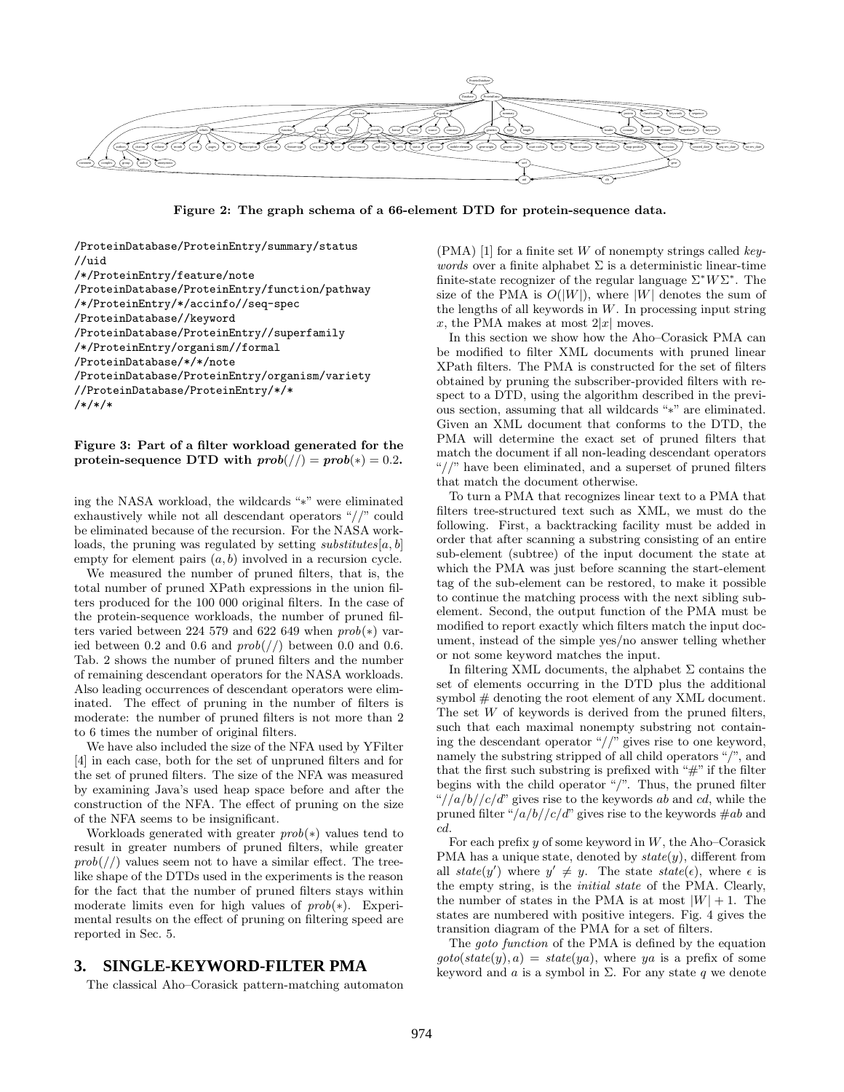

Figure 2: The graph schema of a 66-element DTD for protein-sequence data.

/ProteinDatabase/ProteinEntry/summary/status //uid /\*/ProteinEntry/feature/note /ProteinDatabase/ProteinEntry/function/pathway /\*/ProteinEntry/\*/accinfo//seq-spec /ProteinDatabase//keyword /ProteinDatabase/ProteinEntry//superfamily /\*/ProteinEntry/organism//formal /ProteinDatabase/\*/\*/note /ProteinDatabase/ProteinEntry/organism/variety //ProteinDatabase/ProteinEntry/\*/\* /\*/\*/\*

## Figure 3: Part of a filter workload generated for the protein-sequence DTD with  $prob(\ell) = prob(*) = 0.2$ .

ing the NASA workload, the wildcards "∗" were eliminated exhaustively while not all descendant operators "//" could be eliminated because of the recursion. For the NASA workloads, the pruning was regulated by setting substitutes  $[a, b]$ empty for element pairs  $(a, b)$  involved in a recursion cycle.

We measured the number of pruned filters, that is, the total number of pruned XPath expressions in the union filters produced for the 100 000 original filters. In the case of the protein-sequence workloads, the number of pruned filters varied between 224 579 and 622 649 when  $prob(*)$  varied between 0.2 and 0.6 and  $prob//$  between 0.0 and 0.6. Tab. 2 shows the number of pruned filters and the number of remaining descendant operators for the NASA workloads. Also leading occurrences of descendant operators were eliminated. The effect of pruning in the number of filters is moderate: the number of pruned filters is not more than 2 to 6 times the number of original filters.

We have also included the size of the NFA used by YFilter [4] in each case, both for the set of unpruned filters and for the set of pruned filters. The size of the NFA was measured by examining Java's used heap space before and after the construction of the NFA. The effect of pruning on the size of the NFA seems to be insignificant.

Workloads generated with greater  $prob(*)$  values tend to result in greater numbers of pruned filters, while greater  $prob//$  values seem not to have a similar effect. The treelike shape of the DTDs used in the experiments is the reason for the fact that the number of pruned filters stays within moderate limits even for high values of prob(∗). Experimental results on the effect of pruning on filtering speed are reported in Sec. 5.

# **3. SINGLE-KEYWORD-FILTER PMA**

The classical Aho–Corasick pattern-matching automaton

 $(PMA)$  [1] for a finite set W of nonempty strings called key*words* over a finite alphabet  $\Sigma$  is a deterministic linear-time finite-state recognizer of the regular language  $\Sigma^* W \Sigma^*$ . The size of the PMA is  $O(|W|)$ , where |W| denotes the sum of the lengths of all keywords in  $W$ . In processing input string x, the PMA makes at most  $2|x|$  moves.

In this section we show how the Aho–Corasick PMA can be modified to filter XML documents with pruned linear XPath filters. The PMA is constructed for the set of filters obtained by pruning the subscriber-provided filters with respect to a DTD, using the algorithm described in the previous section, assuming that all wildcards "∗" are eliminated. Given an XML document that conforms to the DTD, the PMA will determine the exact set of pruned filters that match the document if all non-leading descendant operators "//" have been eliminated, and a superset of pruned filters that match the document otherwise.

To turn a PMA that recognizes linear text to a PMA that filters tree-structured text such as XML, we must do the following. First, a backtracking facility must be added in order that after scanning a substring consisting of an entire sub-element (subtree) of the input document the state at which the PMA was just before scanning the start-element tag of the sub-element can be restored, to make it possible to continue the matching process with the next sibling subelement. Second, the output function of the PMA must be modified to report exactly which filters match the input document, instead of the simple yes/no answer telling whether or not some keyword matches the input.

In filtering XML documents, the alphabet  $\Sigma$  contains the set of elements occurring in the DTD plus the additional symbol  $\#$  denoting the root element of any XML document. The set  $W$  of keywords is derived from the pruned filters, such that each maximal nonempty substring not containing the descendant operator "//" gives rise to one keyword, namely the substring stripped of all child operators "/", and that the first such substring is prefixed with " $\#$ " if the filter begins with the child operator "/". Thus, the pruned filter "//a/b//c/d" gives rise to the keywords ab and cd, while the pruned filter "/ $a/b//c/d$ " gives rise to the keywords  $\#ab$  and cd.

For each prefix  $y$  of some keyword in  $W$ , the Aho–Corasick PMA has a unique state, denoted by  $state(y)$ , different from all state(y') where  $y' \neq y$ . The state state( $\epsilon$ ), where  $\epsilon$  is the empty string, is the initial state of the PMA. Clearly, the number of states in the PMA is at most  $|W| + 1$ . The states are numbered with positive integers. Fig. 4 gives the transition diagram of the PMA for a set of filters.

The *goto function* of the PMA is defined by the equation  $qoto(state(y), a) = state(ya)$ , where ya is a prefix of some keyword and a is a symbol in  $\Sigma$ . For any state q we denote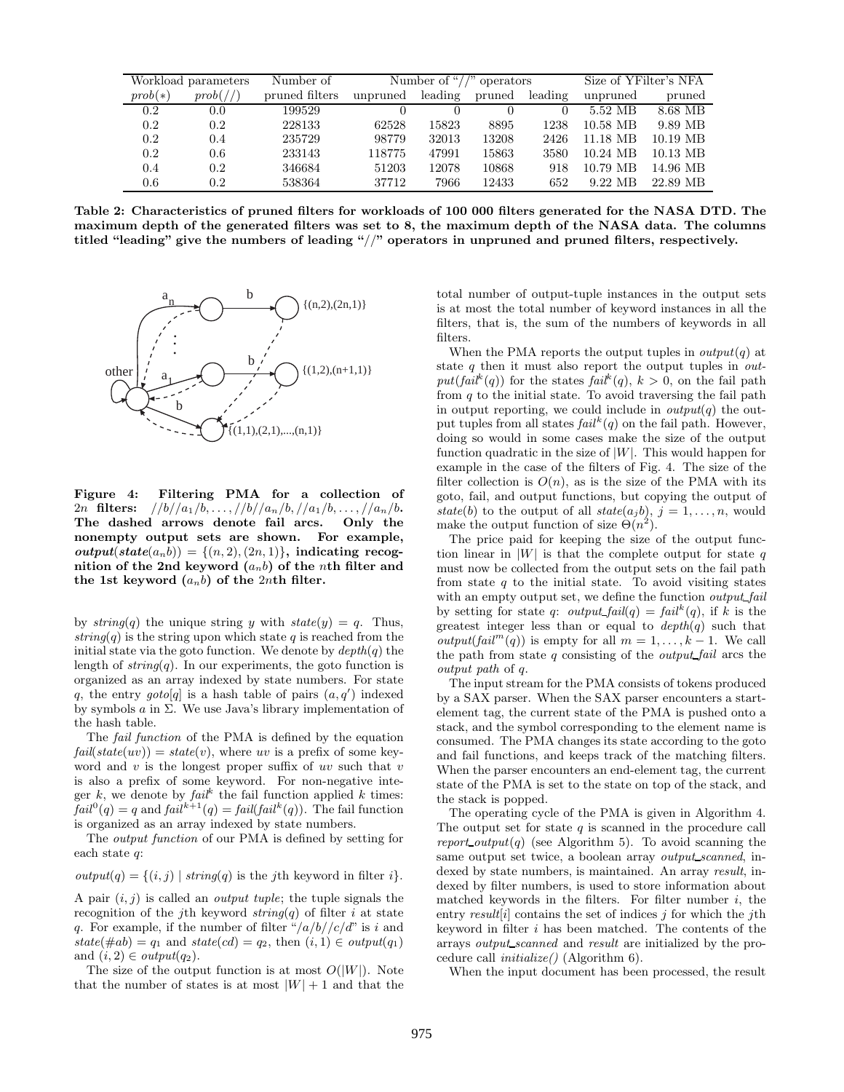|           | Workload parameters | Number of      |          | Number of "//" operators |        |         |            | Size of YFilter's NFA |
|-----------|---------------------|----------------|----------|--------------------------|--------|---------|------------|-----------------------|
| $prob(*)$ | $prob(\frac{1}{2})$ | pruned filters | unpruned | leading                  | pruned | leading | unpruned   | pruned                |
| 0.2       | 0.0                 | 199529         |          |                          |        |         | 5.52 MB    | 8.68 MB               |
| 0.2       | 0.2                 | 228133         | 62528    | 15823                    | 8895   | 1238    | $10.58$ MB | 9.89 MB               |
| 0.2       | 0.4                 | 235729         | 98779    | 32013                    | 13208  | 2426    | 11.18 MB   | 10.19 MB              |
| 0.2       | 0.6                 | 233143         | 118775   | 47991                    | 15863  | 3580    | 10.24 MB   | 10.13 MB              |
| 0.4       | 0.2                 | 346684         | 51203    | 12078                    | 10868  | 918     | 10.79 MB   | 14.96 MB              |
| 0.6       | 0.2                 | 538364         | 37712    | 7966                     | 12433  | 652     | 9.22 MB    | 22.89 MB              |

Table 2: Characteristics of pruned filters for workloads of 100 000 filters generated for the NASA DTD. The maximum depth of the generated filters was set to 8, the maximum depth of the NASA data. The columns titled "leading" give the numbers of leading "//" operators in unpruned and pruned filters, respectively.



Figure 4: Filtering PMA for a collection of 2n filters:  $//b//a_1/b, ..., //b//a_n/b, //a_1/b, ..., //a_n/b.$ The dashed arrows denote fail arcs. Only the nonempty output sets are shown. For example,  $output(state(a_n b)) = \{(n, 2), (2n, 1)\},$  indicating recognition of the 2nd keyword  $(a_n b)$  of the nth filter and the 1st keyword  $(a_n b)$  of the 2nth filter.

by  $string(q)$  the unique string y with  $state(y) = q$ . Thus,  $string(q)$  is the string upon which state q is reached from the initial state via the goto function. We denote by  $depth(q)$  the length of  $string(q)$ . In our experiments, the goto function is organized as an array indexed by state numbers. For state q, the entry goto[q] is a hash table of pairs  $(a, q')$  indexed by symbols  $a$  in  $\Sigma$ . We use Java's library implementation of the hash table.

The *fail function* of the PMA is defined by the equation  $fail(state(uv)) = state(v)$ , where uv is a prefix of some keyword and  $v$  is the longest proper suffix of uv such that  $v$ is also a prefix of some keyword. For non-negative integer k, we denote by  $fail^k$  the fail function applied k times:  $fail^0(q) = q$  and  $fail^{k+1}(q) = fail(fail^k(q))$ . The fail function is organized as an array indexed by state numbers.

The output function of our PMA is defined by setting for each state q:

 $output(q) = \{(i, j) \mid string(q) \text{ is the } j\text{th keyword in filter } i\}.$ 

A pair  $(i, j)$  is called an *output tuple*; the tuple signals the recognition of the j<sup>th</sup> keyword  $string(q)$  of filter i at state q. For example, if the number of filter "/ $a/b$ //c/d" is i and  $state(\text{\#ab}) = q_1$  and  $state(cd) = q_2$ , then  $(i, 1) \in output(q_1)$ and  $(i, 2) \in output(q_2)$ .

The size of the output function is at most  $O(|W|)$ . Note that the number of states is at most  $|W| + 1$  and that the total number of output-tuple instances in the output sets is at most the total number of keyword instances in all the filters, that is, the sum of the numbers of keywords in all filters.

When the PMA reports the output tuples in  $output(q)$  at state q then it must also report the output tuples in out $put(fail<sup>k</sup>(q))$  for the states  $fail<sup>k</sup>(q)$ ,  $k > 0$ , on the fail path from  $q$  to the initial state. To avoid traversing the fail path in output reporting, we could include in  $output(q)$  the output tuples from all states  $fail^k(q)$  on the fail path. However, doing so would in some cases make the size of the output function quadratic in the size of  $|W|$ . This would happen for example in the case of the filters of Fig. 4. The size of the filter collection is  $O(n)$ , as is the size of the PMA with its goto, fail, and output functions, but copying the output of state(b) to the output of all state( $a_jb$ ),  $j = 1, \ldots, n$ , would make the output function of size  $\Theta(n^2)$ .

The price paid for keeping the size of the output function linear in  $|W|$  is that the complete output for state q must now be collected from the output sets on the fail path from state  $q$  to the initial state. To avoid visiting states with an empty output set, we define the function *output\_fail* by setting for state q: output  $fail(q) = fail^k(q)$ , if k is the greatest integer less than or equal to  $depth(q)$  such that *output*( $fail<sup>m</sup>(q)$ ) is empty for all  $m = 1, ..., k - 1$ . We call the path from state q consisting of the *output* fail arcs the output path of q.

The input stream for the PMA consists of tokens produced by a SAX parser. When the SAX parser encounters a startelement tag, the current state of the PMA is pushed onto a stack, and the symbol corresponding to the element name is consumed. The PMA changes its state according to the goto and fail functions, and keeps track of the matching filters. When the parser encounters an end-element tag, the current state of the PMA is set to the state on top of the stack, and the stack is popped.

The operating cycle of the PMA is given in Algorithm 4. The output set for state  $q$  is scanned in the procedure call report\_output(q) (see Algorithm 5). To avoid scanning the same output set twice, a boolean array *output\_scanned*, indexed by state numbers, is maintained. An array result, indexed by filter numbers, is used to store information about matched keywords in the filters. For filter number  $i$ , the entry result [i] contains the set of indices j for which the jth keyword in filter  $i$  has been matched. The contents of the arrays output scanned and result are initialized by the procedure call initialize() (Algorithm 6).

When the input document has been processed, the result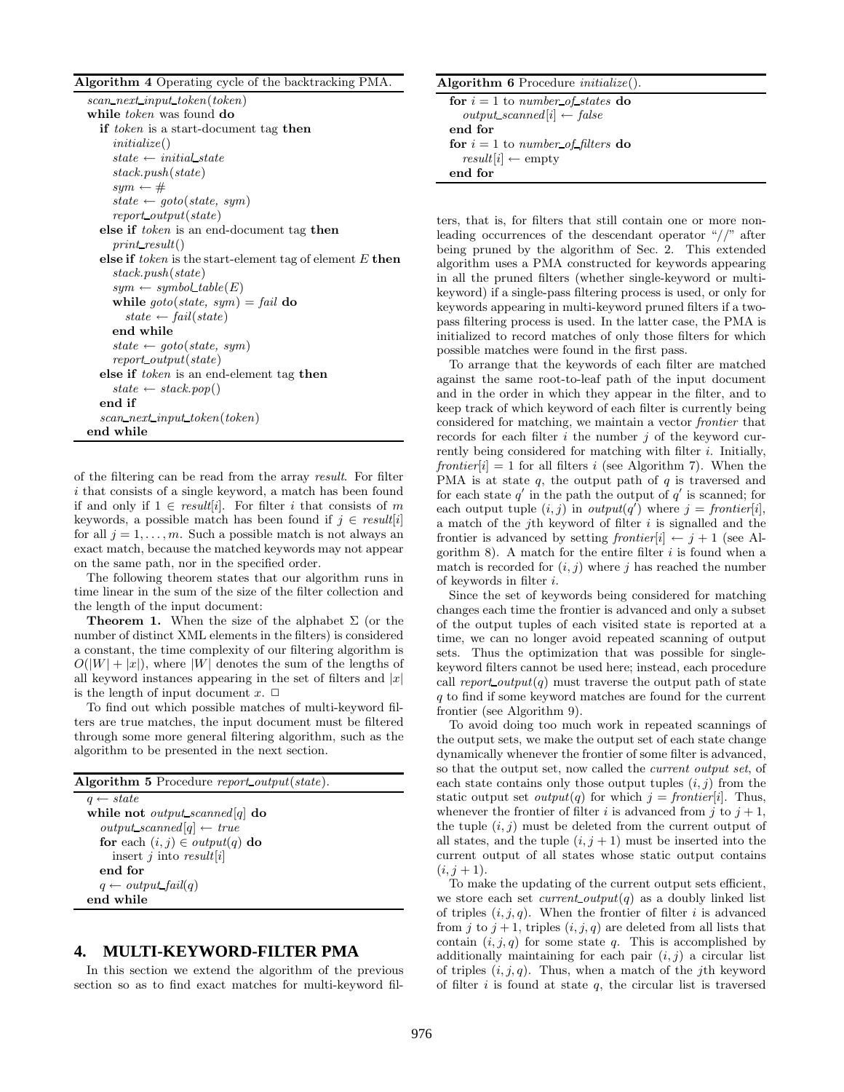| Algorithm 4 Operating cycle of the backtracking PMA. |  |
|------------------------------------------------------|--|
|------------------------------------------------------|--|

| scan_next_input_token(token)                                      |
|-------------------------------------------------------------------|
| while <i>token</i> was found <b>do</b>                            |
| <b>if</b> token is a start-document tag <b>then</b>               |
| initialize()                                                      |
| $state \leftarrow initial\_state$                                 |
| stack.push(state)                                                 |
| $sym \leftarrow #$                                                |
| $state \leftarrow qoto(state, sym)$                               |
| $report\_output(state)$                                           |
| else if token is an end-document tag then                         |
| $print\_result()$                                                 |
| else if <i>token</i> is the start-element tag of element $E$ then |
| stack.push(state)                                                 |
| $sym \leftarrow symbol\_table(E)$                                 |
| while $qoto(state, sym) = fail$ do                                |
| $state \leftarrow fail(state)$                                    |
| end while                                                         |
| $state \leftarrow goto(state, sym)$                               |
| report_output(state)                                              |
| else if <i>token</i> is an end-element tag then                   |
| $state \leftarrow stack.pop()$                                    |
| end if                                                            |
| $scan\_next\_input\_token(token)$                                 |
| end while                                                         |

of the filtering can be read from the array result. For filter i that consists of a single keyword, a match has been found if and only if  $1 \in result[i]$ . For filter i that consists of m keywords, a possible match has been found if  $j \in result[i]$ for all  $j = 1, \ldots, m$ . Such a possible match is not always an exact match, because the matched keywords may not appear on the same path, nor in the specified order.

The following theorem states that our algorithm runs in time linear in the sum of the size of the filter collection and the length of the input document:

**Theorem 1.** When the size of the alphabet  $\Sigma$  (or the number of distinct XML elements in the filters) is considered a constant, the time complexity of our filtering algorithm is  $O(|W| + |x|)$ , where |W| denotes the sum of the lengths of all keyword instances appearing in the set of filters and  $|x|$ is the length of input document  $x$ .  $\Box$ 

To find out which possible matches of multi-keyword filters are true matches, the input document must be filtered through some more general filtering algorithm, such as the algorithm to be presented in the next section.

| <b>Algorithm 5</b> Procedure report_output(state). |  |
|----------------------------------------------------|--|
| $q \leftarrow state$                               |  |
| while not <i>output_scanned</i>  q  do             |  |
| $output\_scanned[q] \leftarrow true$               |  |
| for each $(i, j) \in output(q)$ do                 |  |
| insert <i>j</i> into $result[i]$                   |  |
| end for                                            |  |
| $q \leftarrow output\_fail(q)$                     |  |
| end while                                          |  |

# **4. MULTI-KEYWORD-FILTER PMA**

In this section we extend the algorithm of the previous section so as to find exact matches for multi-keyword fil-

| Algorithm 6 Procedure $\text{ }initialize(.)$ . |  |  |  |  |  |  |
|-------------------------------------------------|--|--|--|--|--|--|
|-------------------------------------------------|--|--|--|--|--|--|

| for $i = 1$ to number of states do    |  |
|---------------------------------------|--|
| $output\_scanned[i] \leftarrow false$ |  |
| end for                               |  |
| for $i = 1$ to number of filters do   |  |
| $result[i] \leftarrow empty$          |  |
| end for                               |  |

ters, that is, for filters that still contain one or more nonleading occurrences of the descendant operator "//" after being pruned by the algorithm of Sec. 2. This extended algorithm uses a PMA constructed for keywords appearing in all the pruned filters (whether single-keyword or multikeyword) if a single-pass filtering process is used, or only for keywords appearing in multi-keyword pruned filters if a twopass filtering process is used. In the latter case, the PMA is initialized to record matches of only those filters for which possible matches were found in the first pass.

To arrange that the keywords of each filter are matched against the same root-to-leaf path of the input document and in the order in which they appear in the filter, and to keep track of which keyword of each filter is currently being considered for matching, we maintain a vector frontier that records for each filter  $i$  the number  $j$  of the keyword currently being considered for matching with filter  $i$ . Initially, frontier $[i] = 1$  for all filters i (see Algorithm 7). When the PMA is at state q, the output path of  $q$  is traversed and for each state  $q'$  in the path the output of  $q'$  is scanned; for each output tuple  $(i, j)$  in *output* $(q')$  where  $j =$  frontier[i], a match of the j<sup>th</sup> keyword of filter  $i$  is signalled and the frontier is advanced by setting frontier[i]  $\leftarrow$  j + 1 (see Algorithm 8). A match for the entire filter  $i$  is found when a match is recorded for  $(i, j)$  where j has reached the number of keywords in filter i.

Since the set of keywords being considered for matching changes each time the frontier is advanced and only a subset of the output tuples of each visited state is reported at a time, we can no longer avoid repeated scanning of output sets. Thus the optimization that was possible for singlekeyword filters cannot be used here; instead, each procedure call report\_output(q) must traverse the output path of state q to find if some keyword matches are found for the current frontier (see Algorithm 9).

To avoid doing too much work in repeated scannings of the output sets, we make the output set of each state change dynamically whenever the frontier of some filter is advanced, so that the output set, now called the current output set, of each state contains only those output tuples  $(i, j)$  from the static output set *output(q)* for which  $j = frontier[i]$ . Thus, whenever the frontier of filter i is advanced from j to  $j + 1$ , the tuple  $(i, j)$  must be deleted from the current output of all states, and the tuple  $(i, j + 1)$  must be inserted into the current output of all states whose static output contains  $(i, j + 1).$ 

To make the updating of the current output sets efficient, we store each set *current output(q)* as a doubly linked list of triples  $(i, j, q)$ . When the frontier of filter i is advanced from j to  $j + 1$ , triples  $(i, j, q)$  are deleted from all lists that contain  $(i, j, q)$  for some state q. This is accomplished by additionally maintaining for each pair  $(i, j)$  a circular list of triples  $(i, j, q)$ . Thus, when a match of the jth keyword of filter  $i$  is found at state  $q$ , the circular list is traversed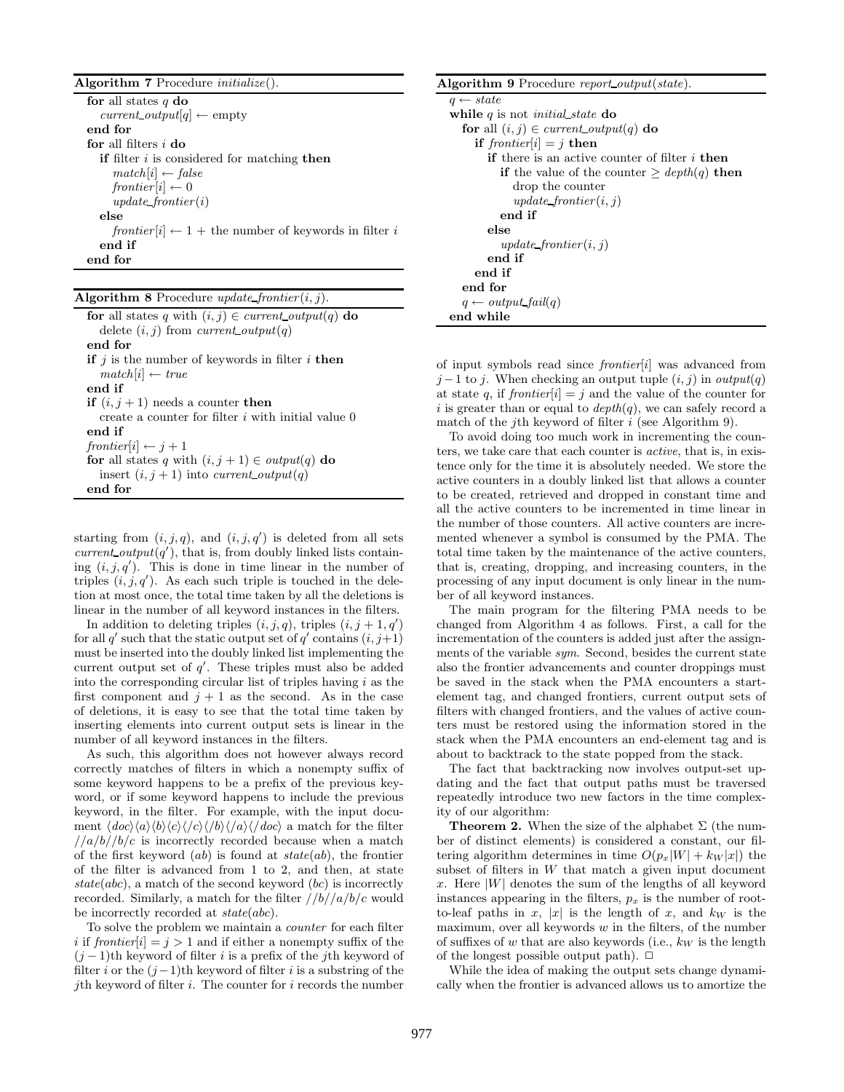#### Algorithm 7 Procedure *initialize*().

for all states  $q$  do  $current\_output[q] \leftarrow \text{empty}$ end for for all filters i do if filter  $i$  is considered for matching then  $match[i] \leftarrow false$  $frontier[i] \leftarrow 0$  $update\_frontier(i)$ else  $frontier[i] \leftarrow 1 +$  the number of keywords in filter i end if end for

#### Algorithm 8 Procedure update frontier $(i, j)$ .

| for all states q with $(i, j) \in current\_output(q)$ do |
|----------------------------------------------------------|
| delete $(i, j)$ from <i>current_output(q)</i>            |
| end for                                                  |
| <b>if</b> is the number of keywords in filter i then     |
| $match[i] \leftarrow true$                               |
| end if                                                   |
| <b>if</b> $(i, j + 1)$ needs a counter <b>then</b>       |
| create a counter for filter $i$ with initial value $0$   |
| end if                                                   |
| frontier[i] $\leftarrow$ j + 1                           |
| for all states q with $(i, j + 1) \in output(q)$ do      |
| insert $(i, j + 1)$ into <i>current_output(q)</i>        |
| end for                                                  |

starting from  $(i, j, q)$ , and  $(i, j, q')$  is deleted from all sets current output(q'), that is, from doubly linked lists containing  $(i, j, q')$ . This is done in time linear in the number of triples  $(i, j, q')$ . As each such triple is touched in the deletion at most once, the total time taken by all the deletions is linear in the number of all keyword instances in the filters.

In addition to deleting triples  $(i, j, q)$ , triples  $(i, j + 1, q')$ for all q' such that the static output set of q' contains  $(i, j+1)$ must be inserted into the doubly linked list implementing the current output set of  $q'$ . These triples must also be added into the corresponding circular list of triples having  $i$  as the first component and  $j + 1$  as the second. As in the case of deletions, it is easy to see that the total time taken by inserting elements into current output sets is linear in the number of all keyword instances in the filters.

As such, this algorithm does not however always record correctly matches of filters in which a nonempty suffix of some keyword happens to be a prefix of the previous keyword, or if some keyword happens to include the previous keyword, in the filter. For example, with the input document  $\langle d\omega \rangle \langle a \rangle \langle b \rangle \langle c \rangle \langle b \rangle \langle b \rangle \langle a \rangle \langle d\omega \rangle$  a match for the filter  $//a/b//b/c$  is incorrectly recorded because when a match of the first keyword  $(ab)$  is found at  $state(ab)$ , the frontier of the filter is advanced from 1 to 2, and then, at state  $state(abc)$ , a match of the second keyword  $(bc)$  is incorrectly recorded. Similarly, a match for the filter  $//b//a/b/c$  would be incorrectly recorded at  $state(abc)$ .

To solve the problem we maintain a counter for each filter i if frontier  $|i| = j > 1$  and if either a nonempty suffix of the  $(j-1)$ th keyword of filter i is a prefix of the jth keyword of filter *i* or the  $(j-1)$ th keyword of filter *i* is a substring of the jth keyword of filter  $i$ . The counter for  $i$  records the number

#### Algorithm 9 Procedure report\_output(state).

| $q \leftarrow state$                                           |
|----------------------------------------------------------------|
| while q is not <i>initial_state</i> do                         |
| for all $(i, j) \in current\_output(q)$ do                     |
| if frontier[i] = j then                                        |
| <b>if</b> there is an active counter of filter $i$ <b>then</b> |
| <b>if</b> the value of the counter $\geq$ depth(q) <b>then</b> |
| drop the counter                                               |
| <i>update_frontier(i, j)</i>                                   |
| end if                                                         |
| else                                                           |
| <i>update_frontier(i, j)</i>                                   |
| end if                                                         |
| end if                                                         |
| end for                                                        |
| $q \leftarrow output\_fail(q)$                                 |
| end while                                                      |
|                                                                |

of input symbols read since frontier[i] was advanced from  $j-1$  to j. When checking an output tuple  $(i, j)$  in  $output(q)$ at state q, if  $frontier[i] = j$  and the value of the counter for i is greater than or equal to  $depth(q)$ , we can safely record a match of the j<sup>th</sup> keyword of filter  $i$  (see Algorithm 9).

To avoid doing too much work in incrementing the counters, we take care that each counter is active, that is, in existence only for the time it is absolutely needed. We store the active counters in a doubly linked list that allows a counter to be created, retrieved and dropped in constant time and all the active counters to be incremented in time linear in the number of those counters. All active counters are incremented whenever a symbol is consumed by the PMA. The total time taken by the maintenance of the active counters, that is, creating, dropping, and increasing counters, in the processing of any input document is only linear in the number of all keyword instances.

The main program for the filtering PMA needs to be changed from Algorithm 4 as follows. First, a call for the incrementation of the counters is added just after the assignments of the variable sym. Second, besides the current state also the frontier advancements and counter droppings must be saved in the stack when the PMA encounters a startelement tag, and changed frontiers, current output sets of filters with changed frontiers, and the values of active counters must be restored using the information stored in the stack when the PMA encounters an end-element tag and is about to backtrack to the state popped from the stack.

The fact that backtracking now involves output-set updating and the fact that output paths must be traversed repeatedly introduce two new factors in the time complexity of our algorithm:

**Theorem 2.** When the size of the alphabet  $\Sigma$  (the number of distinct elements) is considered a constant, our filtering algorithm determines in time  $O(p_x|W| + k_W |x|)$  the subset of filters in  $W$  that match a given input document x. Here  $|W|$  denotes the sum of the lengths of all keyword instances appearing in the filters,  $p_x$  is the number of rootto-leaf paths in x, |x| is the length of x, and  $k_W$  is the maximum, over all keywords  $w$  in the filters, of the number of suffixes of w that are also keywords (i.e.,  $k_W$  is the length of the longest possible output path).  $\Box$ 

While the idea of making the output sets change dynamically when the frontier is advanced allows us to amortize the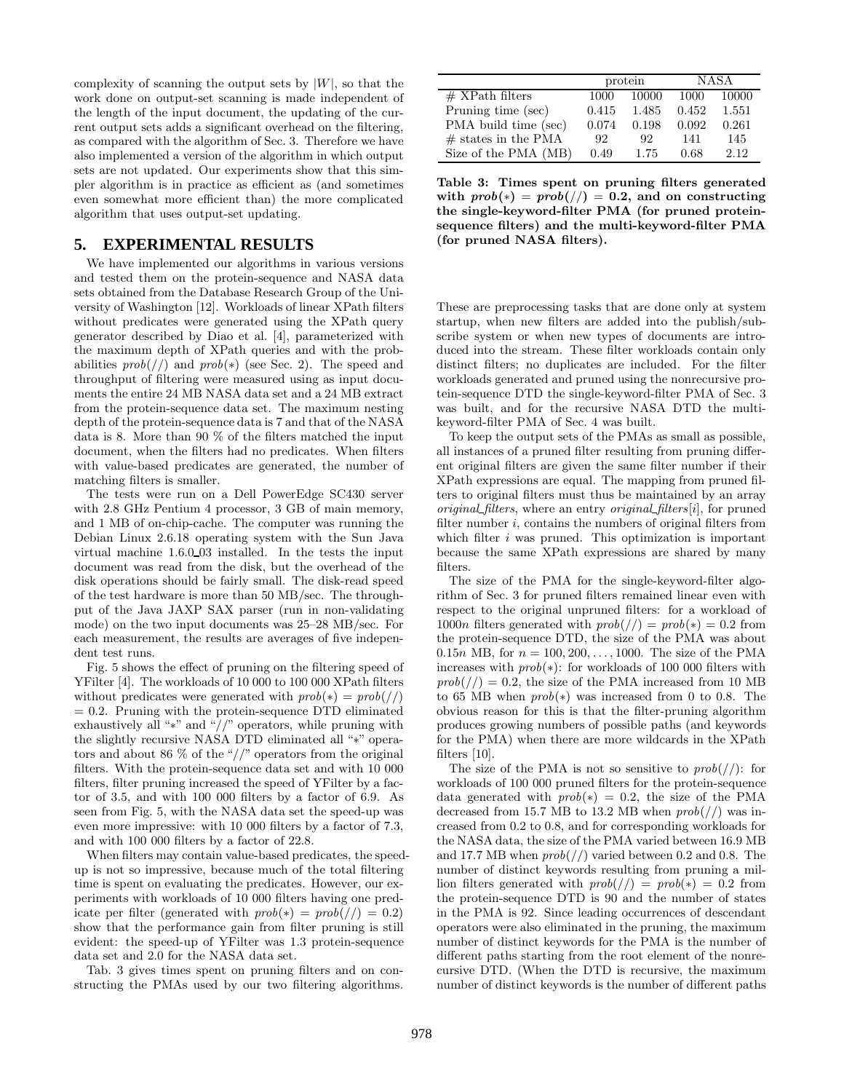complexity of scanning the output sets by  $|W|$ , so that the work done on output-set scanning is made independent of the length of the input document, the updating of the current output sets adds a significant overhead on the filtering, as compared with the algorithm of Sec. 3. Therefore we have also implemented a version of the algorithm in which output sets are not updated. Our experiments show that this simpler algorithm is in practice as efficient as (and sometimes even somewhat more efficient than) the more complicated algorithm that uses output-set updating.

## **5. EXPERIMENTAL RESULTS**

We have implemented our algorithms in various versions and tested them on the protein-sequence and NASA data sets obtained from the Database Research Group of the University of Washington [12]. Workloads of linear XPath filters without predicates were generated using the XPath query generator described by Diao et al. [4], parameterized with the maximum depth of XPath queries and with the probabilities  $prob//)$  and  $prob(*)$  (see Sec. 2). The speed and throughput of filtering were measured using as input documents the entire 24 MB NASA data set and a 24 MB extract from the protein-sequence data set. The maximum nesting depth of the protein-sequence data is 7 and that of the NASA data is 8. More than 90 % of the filters matched the input document, when the filters had no predicates. When filters with value-based predicates are generated, the number of matching filters is smaller.

The tests were run on a Dell PowerEdge SC430 server with 2.8 GHz Pentium 4 processor, 3 GB of main memory, and 1 MB of on-chip-cache. The computer was running the Debian Linux 2.6.18 operating system with the Sun Java virtual machine 1.6.0 03 installed. In the tests the input document was read from the disk, but the overhead of the disk operations should be fairly small. The disk-read speed of the test hardware is more than 50 MB/sec. The throughput of the Java JAXP SAX parser (run in non-validating mode) on the two input documents was 25–28 MB/sec. For each measurement, the results are averages of five independent test runs.

Fig. 5 shows the effect of pruning on the filtering speed of YFilter [4]. The workloads of 10 000 to 100 000 XPath filters without predicates were generated with  $prob(*) = prob//)$  $= 0.2$ . Pruning with the protein-sequence DTD eliminated exhaustively all "∗" and "//" operators, while pruning with the slightly recursive NASA DTD eliminated all "∗" operators and about 86  $\%$  of the "//" operators from the original filters. With the protein-sequence data set and with 10 000 filters, filter pruning increased the speed of YFilter by a factor of 3.5, and with 100 000 filters by a factor of 6.9. As seen from Fig. 5, with the NASA data set the speed-up was even more impressive: with 10 000 filters by a factor of 7.3, and with 100 000 filters by a factor of 22.8.

When filters may contain value-based predicates, the speedup is not so impressive, because much of the total filtering time is spent on evaluating the predicates. However, our experiments with workloads of 10 000 filters having one predicate per filter (generated with  $prob(*) = prob//) = 0.2$ ) show that the performance gain from filter pruning is still evident: the speed-up of YFilter was 1.3 protein-sequence data set and 2.0 for the NASA data set.

Tab. 3 gives times spent on pruning filters and on constructing the PMAs used by our two filtering algorithms.

|                        | protein |       |       | NASA  |
|------------------------|---------|-------|-------|-------|
| $#$ XPath filters      | 1000    | 10000 | 1000  | 10000 |
| Pruning time (sec)     | 0.415   | 1.485 | 0.452 | 1.551 |
| PMA build time (sec)   | 0.074   | 0.198 | 0.092 | 0.261 |
| $\#$ states in the PMA | 92      | 92    | 141   | 145   |
| Size of the PMA (MB)   | 0.49    | 1.75  | 0.68  | 2.12  |

Table 3: Times spent on pruning filters generated with  $prob(*) = prob// = 0.2$ , and on constructing the single-keyword-filter PMA (for pruned proteinsequence filters) and the multi-keyword-filter PMA (for pruned NASA filters).

These are preprocessing tasks that are done only at system startup, when new filters are added into the publish/subscribe system or when new types of documents are introduced into the stream. These filter workloads contain only distinct filters; no duplicates are included. For the filter workloads generated and pruned using the nonrecursive protein-sequence DTD the single-keyword-filter PMA of Sec. 3 was built, and for the recursive NASA DTD the multikeyword-filter PMA of Sec. 4 was built.

To keep the output sets of the PMAs as small as possible, all instances of a pruned filter resulting from pruning different original filters are given the same filter number if their XPath expressions are equal. The mapping from pruned filters to original filters must thus be maintained by an array  $original_{\text{filters}}$ , where an entry *original filters*[i], for pruned filter number  $i$ , contains the numbers of original filters from which filter  $i$  was pruned. This optimization is important because the same XPath expressions are shared by many filters.

The size of the PMA for the single-keyword-filter algorithm of Sec. 3 for pruned filters remained linear even with respect to the original unpruned filters: for a workload of 1000n filters generated with  $prob//) = prob(*) = 0.2$  from the protein-sequence DTD, the size of the PMA was about 0.15n MB, for  $n = 100, 200, ..., 1000$ . The size of the PMA increases with  $prob(*)$ : for workloads of 100 000 filters with  $prob//$  = 0.2, the size of the PMA increased from 10 MB to 65 MB when prob(∗) was increased from 0 to 0.8. The obvious reason for this is that the filter-pruning algorithm produces growing numbers of possible paths (and keywords for the PMA) when there are more wildcards in the XPath filters [10].

The size of the PMA is not so sensitive to  $prob//)$ : for workloads of 100 000 pruned filters for the protein-sequence data generated with  $prob(*) = 0.2$ , the size of the PMA decreased from 15.7 MB to 13.2 MB when  $prob//)$  was increased from 0.2 to 0.8, and for corresponding workloads for the NASA data, the size of the PMA varied between 16.9 MB and 17.7 MB when  $prob//$  varied between 0.2 and 0.8. The number of distinct keywords resulting from pruning a million filters generated with  $prob(\ell) = prob(*) = 0.2$  from the protein-sequence DTD is 90 and the number of states in the PMA is 92. Since leading occurrences of descendant operators were also eliminated in the pruning, the maximum number of distinct keywords for the PMA is the number of different paths starting from the root element of the nonrecursive DTD. (When the DTD is recursive, the maximum number of distinct keywords is the number of different paths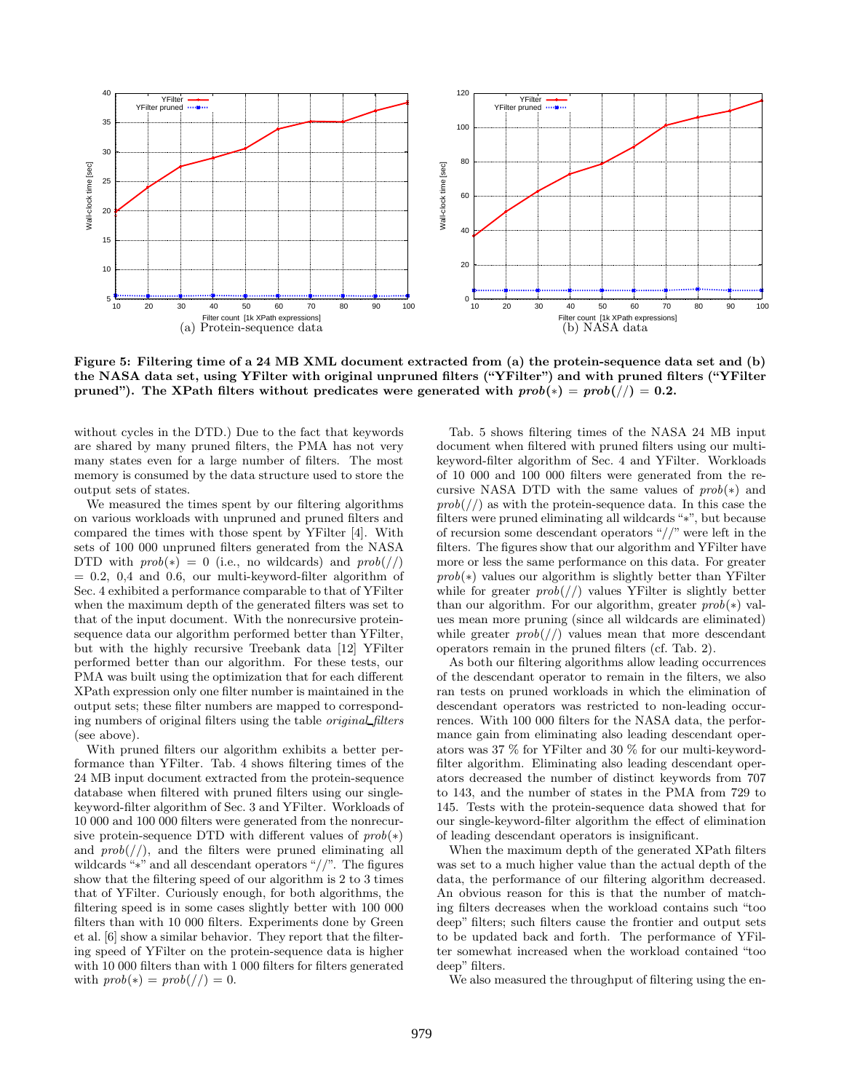

Figure 5: Filtering time of a 24 MB XML document extracted from (a) the protein-sequence data set and (b) the NASA data set, using YFilter with original unpruned filters ("YFilter") and with pruned filters ("YFilter pruned"). The XPath filters without predicates were generated with  $prob(*) = prob// = 0.2$ .

without cycles in the DTD.) Due to the fact that keywords are shared by many pruned filters, the PMA has not very many states even for a large number of filters. The most memory is consumed by the data structure used to store the output sets of states.

We measured the times spent by our filtering algorithms on various workloads with unpruned and pruned filters and compared the times with those spent by YFilter [4]. With sets of 100 000 unpruned filters generated from the NASA DTD with  $prob(*) = 0$  (i.e., no wildcards) and  $prob//)$  $= 0.2, 0.4$  and 0.6, our multi-keyword-filter algorithm of Sec. 4 exhibited a performance comparable to that of YFilter when the maximum depth of the generated filters was set to that of the input document. With the nonrecursive proteinsequence data our algorithm performed better than YFilter, but with the highly recursive Treebank data [12] YFilter performed better than our algorithm. For these tests, our PMA was built using the optimization that for each different XPath expression only one filter number is maintained in the output sets; these filter numbers are mapped to corresponding numbers of original filters using the table original filters (see above).

With pruned filters our algorithm exhibits a better performance than YFilter. Tab. 4 shows filtering times of the 24 MB input document extracted from the protein-sequence database when filtered with pruned filters using our singlekeyword-filter algorithm of Sec. 3 and YFilter. Workloads of 10 000 and 100 000 filters were generated from the nonrecursive protein-sequence DTD with different values of  $prob(*)$ and  $prob(\frac{1}{1})$ , and the filters were pruned eliminating all wildcards "∗" and all descendant operators "//". The figures show that the filtering speed of our algorithm is 2 to 3 times that of YFilter. Curiously enough, for both algorithms, the filtering speed is in some cases slightly better with 100 000 filters than with 10 000 filters. Experiments done by Green et al. [6] show a similar behavior. They report that the filtering speed of YFilter on the protein-sequence data is higher with 10 000 filters than with 1 000 filters for filters generated with  $prob(*) = prob// = 0$ .

Tab. 5 shows filtering times of the NASA 24 MB input document when filtered with pruned filters using our multikeyword-filter algorithm of Sec. 4 and YFilter. Workloads of 10 000 and 100 000 filters were generated from the recursive NASA DTD with the same values of  $prob(*)$  and  $prob//)$  as with the protein-sequence data. In this case the filters were pruned eliminating all wildcards "∗", but because of recursion some descendant operators "//" were left in the filters. The figures show that our algorithm and YFilter have more or less the same performance on this data. For greater prob(∗) values our algorithm is slightly better than YFilter while for greater  $prob//)$  values YFilter is slightly better than our algorithm. For our algorithm, greater  $prob(*)$  values mean more pruning (since all wildcards are eliminated) while greater  $prob//$  values mean that more descendant operators remain in the pruned filters (cf. Tab. 2).

As both our filtering algorithms allow leading occurrences of the descendant operator to remain in the filters, we also ran tests on pruned workloads in which the elimination of descendant operators was restricted to non-leading occurrences. With 100 000 filters for the NASA data, the performance gain from eliminating also leading descendant operators was 37 % for YFilter and 30 % for our multi-keywordfilter algorithm. Eliminating also leading descendant operators decreased the number of distinct keywords from 707 to 143, and the number of states in the PMA from 729 to 145. Tests with the protein-sequence data showed that for our single-keyword-filter algorithm the effect of elimination of leading descendant operators is insignificant.

When the maximum depth of the generated XPath filters was set to a much higher value than the actual depth of the data, the performance of our filtering algorithm decreased. An obvious reason for this is that the number of matching filters decreases when the workload contains such "too deep" filters; such filters cause the frontier and output sets to be updated back and forth. The performance of YFilter somewhat increased when the workload contained "too deep" filters.

We also measured the throughput of filtering using the en-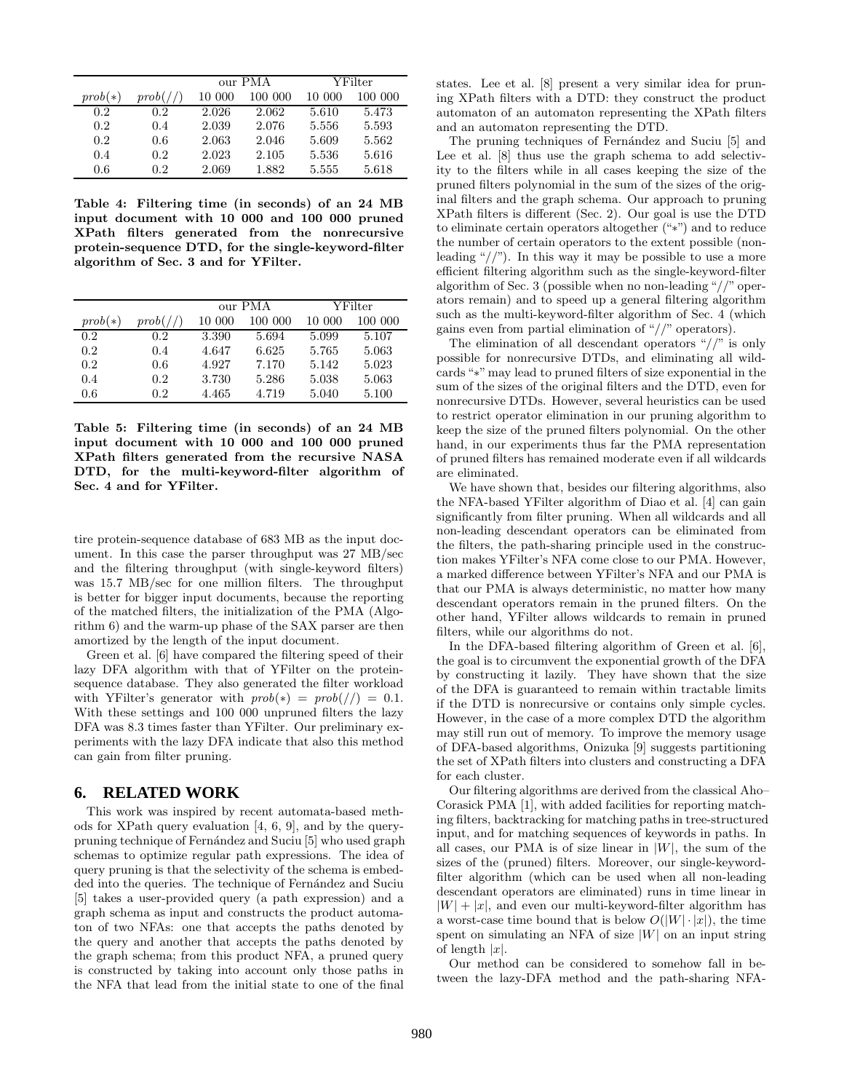|           |                  | our PMA |         | YFilter |         |
|-----------|------------------|---------|---------|---------|---------|
| $prob(*)$ | $prob//\wedge$   | 10 000  | 100 000 | 10 000  | 100 000 |
| 0.2       | 0.2 <sub>1</sub> | 2.026   | 2.062   | 5.610   | 5.473   |
| 0.2       | 0.4              | 2.039   | 2.076   | 5.556   | 5.593   |
| 0.2       | 0.6              | 2.063   | 2.046   | 5.609   | 5.562   |
| 0.4       | 0.2              | 2.023   | 2.105   | 5.536   | 5.616   |
| 0.6       | 0.2 <sub>1</sub> | 2.069   | 1.882   | 5.555   | 5.618   |

Table 4: Filtering time (in seconds) of an 24 MB input document with 10 000 and 100 000 pruned XPath filters generated from the nonrecursive protein-sequence DTD, for the single-keyword-filter algorithm of Sec. 3 and for YFilter.

|           |                     | our PMA |         | YFilter |         |
|-----------|---------------------|---------|---------|---------|---------|
| $prob(*)$ | $prob(\frac{1}{2})$ | 10 000  | 100 000 | 10 000  | 100 000 |
| 0.2       | 0.2                 | 3.390   | 5.694   | 5.099   | 5.107   |
| 0.2       | 0.4                 | 4.647   | 6.625   | 5.765   | 5.063   |
| 0.2       | $0.6\,$             | 4.927   | 7.170   | 5.142   | 5.023   |
| 0.4       | 0.2                 | 3.730   | 5.286   | 5.038   | 5.063   |
| 0.6       | 0.2 <sub>1</sub>    | 4.465   | 4.719   | 5.040   | 5.100   |

Table 5: Filtering time (in seconds) of an 24 MB input document with 10 000 and 100 000 pruned XPath filters generated from the recursive NASA DTD, for the multi-keyword-filter algorithm of Sec. 4 and for YFilter.

tire protein-sequence database of 683 MB as the input document. In this case the parser throughput was 27 MB/sec and the filtering throughput (with single-keyword filters) was 15.7 MB/sec for one million filters. The throughput is better for bigger input documents, because the reporting of the matched filters, the initialization of the PMA (Algorithm 6) and the warm-up phase of the SAX parser are then amortized by the length of the input document.

Green et al. [6] have compared the filtering speed of their lazy DFA algorithm with that of YFilter on the proteinsequence database. They also generated the filter workload with YFilter's generator with  $prob(*) = prob//) = 0.1$ . With these settings and 100 000 unpruned filters the lazy DFA was 8.3 times faster than YFilter. Our preliminary experiments with the lazy DFA indicate that also this method can gain from filter pruning.

## **6. RELATED WORK**

This work was inspired by recent automata-based methods for XPath query evaluation [4, 6, 9], and by the querypruning technique of Fernández and Suciu [5] who used graph schemas to optimize regular path expressions. The idea of query pruning is that the selectivity of the schema is embedded into the queries. The technique of Fernández and Suciu [5] takes a user-provided query (a path expression) and a graph schema as input and constructs the product automaton of two NFAs: one that accepts the paths denoted by the query and another that accepts the paths denoted by the graph schema; from this product NFA, a pruned query is constructed by taking into account only those paths in the NFA that lead from the initial state to one of the final

states. Lee et al. [8] present a very similar idea for pruning XPath filters with a DTD: they construct the product automaton of an automaton representing the XPath filters and an automaton representing the DTD.

The pruning techniques of Fernández and Suciu [5] and Lee et al. [8] thus use the graph schema to add selectivity to the filters while in all cases keeping the size of the pruned filters polynomial in the sum of the sizes of the original filters and the graph schema. Our approach to pruning XPath filters is different (Sec. 2). Our goal is use the DTD to eliminate certain operators altogether ("∗") and to reduce the number of certain operators to the extent possible (nonleading " $\frac{1}{2}$ "). In this way it may be possible to use a more efficient filtering algorithm such as the single-keyword-filter algorithm of Sec. 3 (possible when no non-leading "//" operators remain) and to speed up a general filtering algorithm such as the multi-keyword-filter algorithm of Sec. 4 (which gains even from partial elimination of " $\frac{1}{2}$ " operators).

The elimination of all descendant operators " $//$ " is only possible for nonrecursive DTDs, and eliminating all wildcards "∗"may lead to pruned filters of size exponential in the sum of the sizes of the original filters and the DTD, even for nonrecursive DTDs. However, several heuristics can be used to restrict operator elimination in our pruning algorithm to keep the size of the pruned filters polynomial. On the other hand, in our experiments thus far the PMA representation of pruned filters has remained moderate even if all wildcards are eliminated.

We have shown that, besides our filtering algorithms, also the NFA-based YFilter algorithm of Diao et al. [4] can gain significantly from filter pruning. When all wildcards and all non-leading descendant operators can be eliminated from the filters, the path-sharing principle used in the construction makes YFilter's NFA come close to our PMA. However, a marked difference between YFilter's NFA and our PMA is that our PMA is always deterministic, no matter how many descendant operators remain in the pruned filters. On the other hand, YFilter allows wildcards to remain in pruned filters, while our algorithms do not.

In the DFA-based filtering algorithm of Green et al. [6], the goal is to circumvent the exponential growth of the DFA by constructing it lazily. They have shown that the size of the DFA is guaranteed to remain within tractable limits if the DTD is nonrecursive or contains only simple cycles. However, in the case of a more complex DTD the algorithm may still run out of memory. To improve the memory usage of DFA-based algorithms, Onizuka [9] suggests partitioning the set of XPath filters into clusters and constructing a DFA for each cluster.

Our filtering algorithms are derived from the classical Aho– Corasick PMA [1], with added facilities for reporting matching filters, backtracking for matching paths in tree-structured input, and for matching sequences of keywords in paths. In all cases, our PMA is of size linear in  $|W|$ , the sum of the sizes of the (pruned) filters. Moreover, our single-keywordfilter algorithm (which can be used when all non-leading descendant operators are eliminated) runs in time linear in  $|W| + |x|$ , and even our multi-keyword-filter algorithm has a worst-case time bound that is below  $O(|W| \cdot |x|)$ , the time spent on simulating an NFA of size  $|W|$  on an input string of length  $|x|$ .

Our method can be considered to somehow fall in between the lazy-DFA method and the path-sharing NFA-